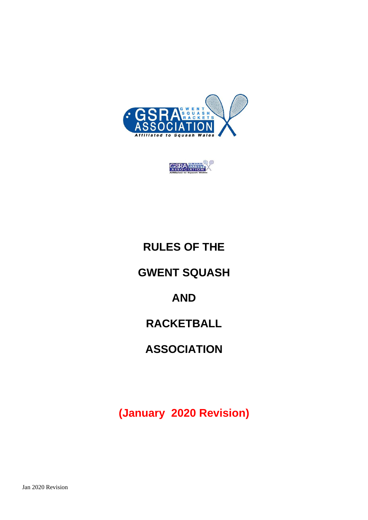



# **RULES OF THE**

### **GWENT SQUASH**

## **AND**

## **RACKETBALL**

## **ASSOCIATION**

**(January 2020 Revision)**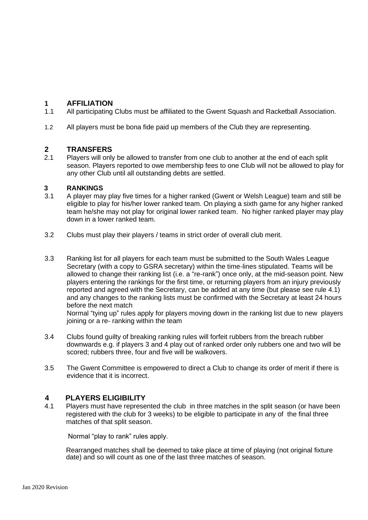### **1 AFFILIATION**

- 1.1 All participating Clubs must be affiliated to the Gwent Squash and Racketball Association.
- 1.2 All players must be bona fide paid up members of the Club they are representing.

#### **2 TRANSFERS**

2.1 Players will only be allowed to transfer from one club to another at the end of each split season. Players reported to owe membership fees to one Club will not be allowed to play for any other Club until all outstanding debts are settled.

## **3 RANKINGS**<br>3.1 A player may

- 3.1 A player may play five times for a higher ranked (Gwent or Welsh League) team and still be eligible to play for his/her lower ranked team. On playing a sixth game for any higher ranked team he/she may not play for original lower ranked team. No higher ranked player may play down in a lower ranked team.
- 3.2 Clubs must play their players / teams in strict order of overall club merit.
- 3.3 Ranking list for all players for each team must be submitted to the South Wales League Secretary (with a copy to GSRA secretary) within the time-lines stipulated. Teams will be allowed to change their ranking list (i.e. a "re-rank") once only, at the mid-season point. New players entering the rankings for the first time, or returning players from an injury previously reported and agreed with the Secretary, can be added at any time (but please see rule 4.1) and any changes to the ranking lists must be confirmed with the Secretary at least 24 hours before the next match

Normal "tying up" rules apply for players moving down in the ranking list due to new players joining or a re- ranking within the team

- 3.4 Clubs found guilty of breaking ranking rules will forfeit rubbers from the breach rubber downwards e.g. if players 3 and 4 play out of ranked order only rubbers one and two will be scored; rubbers three, four and five will be walkovers.
- 3.5 The Gwent Committee is empowered to direct a Club to change its order of merit if there is evidence that it is incorrect.

### **4 PLAYERS ELIGIBILITY**

4.1 Players must have represented the club in three matches in the split season (or have been registered with the club for 3 weeks) to be eligible to participate in any of the final three matches of that split season.

Normal "play to rank" rules apply.

Rearranged matches shall be deemed to take place at time of playing (not original fixture date) and so will count as one of the last three matches of season.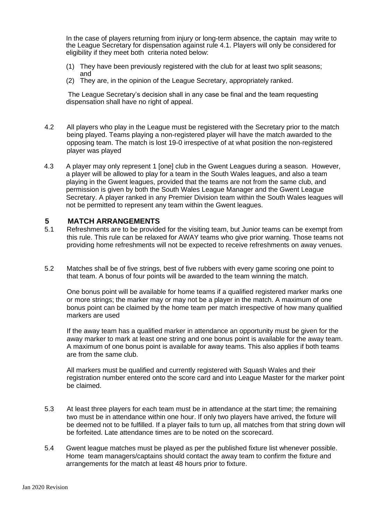In the case of players returning from injury or long-term absence, the captain may write to the League Secretary for dispensation against rule 4.1. Players will only be considered for eligibility if they meet both criteria noted below:

- (1) They have been previously registered with the club for at least two split seasons; and
- (2) They are, in the opinion of the League Secretary, appropriately ranked.

The League Secretary's decision shall in any case be final and the team requesting dispensation shall have no right of appeal.

- 4.2 All players who play in the League must be registered with the Secretary prior to the match being played. Teams playing a non-registered player will have the match awarded to the opposing team. The match is lost 19-0 irrespective of at what position the non-registered player was played
- 4.3 A player may only represent 1 [one] club in the Gwent Leagues during a season. However, a player will be allowed to play for a team in the South Wales leagues, and also a team playing in the Gwent leagues, provided that the teams are not from the same club, and permission is given by both the South Wales League Manager and the Gwent League Secretary. A player ranked in any Premier Division team within the South Wales leagues will not be permitted to represent any team within the Gwent leagues.

#### **5 MATCH ARRANGEMENTS**

- 5.1 Refreshments are to be provided for the visiting team, but Junior teams can be exempt from this rule. This rule can be relaxed for AWAY teams who give prior warning. Those teams not providing home refreshments will not be expected to receive refreshments on away venues.
- 5.2 Matches shall be of five strings, best of five rubbers with every game scoring one point to that team. A bonus of four points will be awarded to the team winning the match.

One bonus point will be available for home teams if a qualified registered marker marks one or more strings; the marker may or may not be a player in the match. A maximum of one bonus point can be claimed by the home team per match irrespective of how many qualified markers are used

If the away team has a qualified marker in attendance an opportunity must be given for the away marker to mark at least one string and one bonus point is available for the away team. A maximum of one bonus point is available for away teams. This also applies if both teams are from the same club.

All markers must be qualified and currently registered with Squash Wales and their registration number entered onto the score card and into League Master for the marker point be claimed.

- 5.3 At least three players for each team must be in attendance at the start time; the remaining two must be in attendance within one hour. If only two players have arrived, the fixture will be deemed not to be fulfilled. If a player fails to turn up, all matches from that string down will be forfeited. Late attendance times are to be noted on the scorecard.
- 5.4 Gwent league matches must be played as per the published fixture list whenever possible. Home team managers/captains should contact the away team to confirm the fixture and arrangements for the match at least 48 hours prior to fixture.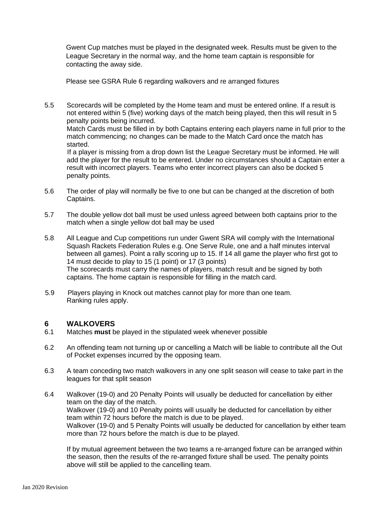Gwent Cup matches must be played in the designated week. Results must be given to the League Secretary in the normal way, and the home team captain is responsible for contacting the away side.

Please see GSRA Rule 6 regarding walkovers and re arranged fixtures

5.5 Scorecards will be completed by the Home team and must be entered online. If a result is not entered within 5 (five) working days of the match being played, then this will result in 5 penalty points being incurred.

Match Cards must be filled in by both Captains entering each players name in full prior to the match commencing; no changes can be made to the Match Card once the match has started.

 If a player is missing from a drop down list the League Secretary must be informed. He will add the player for the result to be entered. Under no circumstances should a Captain enter a result with incorrect players. Teams who enter incorrect players can also be docked 5 penalty points.

- 5.6 The order of play will normally be five to one but can be changed at the discretion of both Captains.
- 5.7 The double yellow dot ball must be used unless agreed between both captains prior to the match when a single yellow dot ball may be used
- 5.8 All League and Cup competitions run under Gwent SRA will comply with the International Squash Rackets Federation Rules e.g. One Serve Rule, one and a half minutes interval between all games). Point a rally scoring up to 15. If 14 all game the player who first got to 14 must decide to play to 15 (1 point) or 17 (3 points) The scorecards must carry the names of players, match result and be signed by both captains. The home captain is responsible for filling in the match card.
- 5.9 Players playing in Knock out matches cannot play for more than one team. Ranking rules apply.

#### **6 WALKOVERS**

- 6.1 Matches **must** be played in the stipulated week whenever possible
- 6.2 An offending team not turning up or cancelling a Match will be liable to contribute all the Out of Pocket expenses incurred by the opposing team.
- 6.3 A team conceding two match walkovers in any one split season will cease to take part in the leagues for that split season
- 6.4 Walkover (19-0) and 20 Penalty Points will usually be deducted for cancellation by either team on the day of the match. Walkover (19-0) and 10 Penalty points will usually be deducted for cancellation by either team within 72 hours before the match is due to be played. Walkover (19-0) and 5 Penalty Points will usually be deducted for cancellation by either team more than 72 hours before the match is due to be played.

If by mutual agreement between the two teams a re-arranged fixture can be arranged within the season, then the results of the re-arranged fixture shall be used. The penalty points above will still be applied to the cancelling team.